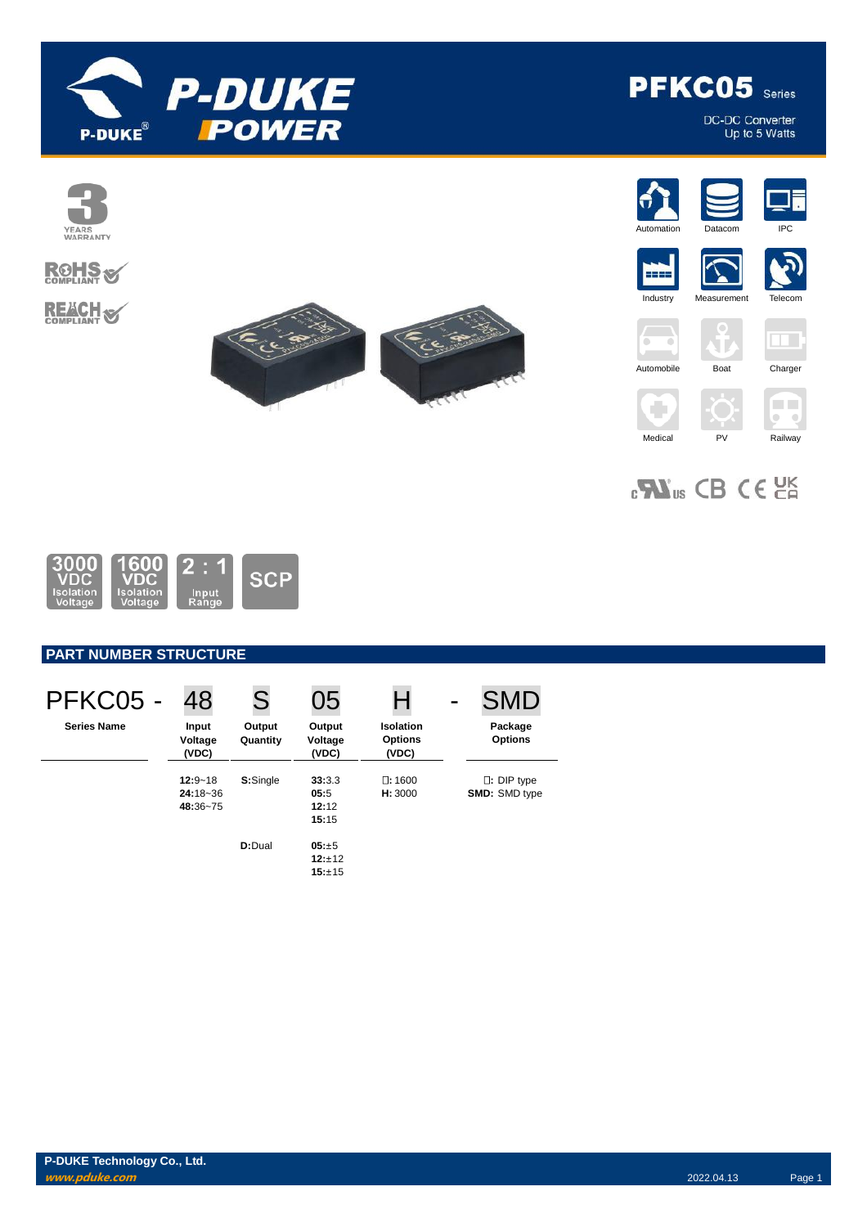

PFKC05 Series

DC-DC Converter<br>Up to 5 Watts



 $_{c}\mathbf{W}_{us}$  CB CE  $_{c}$ 



# **PART NUMBER STRUCTURE**

| PFKC05 -           | 48                                      | S                  | 05                               | Н                                           | <b>SMD</b>                         |
|--------------------|-----------------------------------------|--------------------|----------------------------------|---------------------------------------------|------------------------------------|
| <b>Series Name</b> | Input<br>Voltage<br>(VDC)               | Output<br>Quantity | Output<br>Voltage<br>(VDC)       | <b>Isolation</b><br><b>Options</b><br>(VDC) | Package<br><b>Options</b>          |
|                    | $12:9 - 18$<br>$24:18 - 36$<br>48:36~75 | S:Single           | 33:3.3<br>05:5<br>12:12<br>15:15 | $\square: 1600$<br>H: 3000                  | $\Box$ : DIP type<br>SMD: SMD type |
|                    |                                         | D:Dual             | 05:±5<br>12:±12<br>15:±15        |                                             |                                    |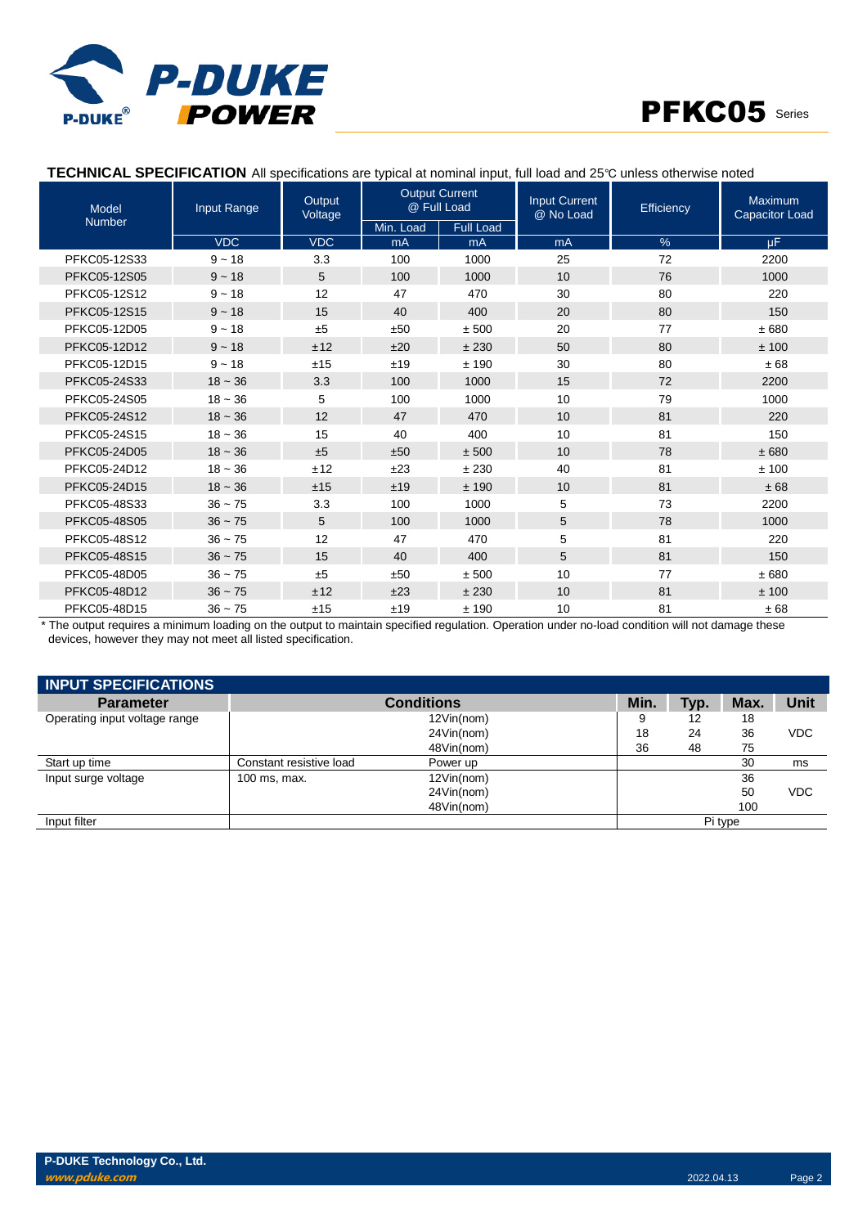



## **TECHNICAL SPECIFICATION** All specifications are typical at nominal input, full load and 25℃ unless otherwise noted

| <b>Model</b>  | Input Range | Output<br>Voltage | <b>Output Current</b><br>@ Full Load |                  | <b>Input Current</b><br>@ No Load | Efficiency | Maximum<br><b>Capacitor Load</b> |
|---------------|-------------|-------------------|--------------------------------------|------------------|-----------------------------------|------------|----------------------------------|
| <b>Number</b> |             |                   | Min. Load                            | <b>Full Load</b> |                                   |            |                                  |
|               | <b>VDC</b>  | <b>VDC</b>        | mA                                   | mA               | mA                                | $\%$       | μF.                              |
| PFKC05-12S33  | $9 - 18$    | 3.3               | 100                                  | 1000             | 25                                | 72         | 2200                             |
| PFKC05-12S05  | $9 - 18$    | 5                 | 100                                  | 1000             | 10                                | 76         | 1000                             |
| PFKC05-12S12  | $9 - 18$    | 12                | 47                                   | 470              | 30                                | 80         | 220                              |
| PFKC05-12S15  | $9 - 18$    | 15                | 40                                   | 400              | 20                                | 80         | 150                              |
| PFKC05-12D05  | $9 - 18$    | ±5                | ±50                                  | ± 500            | 20                                | 77         | ±680                             |
| PFKC05-12D12  | $9 - 18$    | ±12               | ±20                                  | ±230             | 50                                | 80         | ±100                             |
| PFKC05-12D15  | $9 - 18$    | ±15               | ±19                                  | ±190             | 30                                | 80         | ±68                              |
| PFKC05-24S33  | $18 - 36$   | 3.3               | 100                                  | 1000             | 15                                | 72         | 2200                             |
| PFKC05-24S05  | $18 - 36$   | 5                 | 100                                  | 1000             | 10                                | 79         | 1000                             |
| PFKC05-24S12  | $18 - 36$   | 12                | 47                                   | 470              | 10                                | 81         | 220                              |
| PFKC05-24S15  | $18 - 36$   | 15                | 40                                   | 400              | 10                                | 81         | 150                              |
| PFKC05-24D05  | $18 - 36$   | ±5                | ±50                                  | ± 500            | 10                                | 78         | ±680                             |
| PFKC05-24D12  | $18 - 36$   | ±12               | ±23                                  | ±230             | 40                                | 81         | ±100                             |
| PFKC05-24D15  | $18 - 36$   | ±15               | ±19                                  | ±190             | 10                                | 81         | ±68                              |
| PFKC05-48S33  | $36 - 75$   | 3.3               | 100                                  | 1000             | 5                                 | 73         | 2200                             |
| PFKC05-48S05  | $36 - 75$   | 5                 | 100                                  | 1000             | 5                                 | 78         | 1000                             |
| PFKC05-48S12  | $36 - 75$   | 12                | 47                                   | 470              | 5                                 | 81         | 220                              |
| PFKC05-48S15  | $36 - 75$   | 15                | 40                                   | 400              | 5                                 | 81         | 150                              |
| PFKC05-48D05  | $36 - 75$   | ±5                | ±50                                  | ± 500            | 10                                | 77         | ±680                             |
| PFKC05-48D12  | $36 - 75$   | ±12               | ±23                                  | ±230             | 10                                | 81         | ±100                             |
| PFKC05-48D15  | $36 - 75$   | ±15               | ±19                                  | ±190             | 10                                | 81         | ±68                              |

\* The output requires a minimum loading on the output to maintain specified regulation. Operation under no-load condition will not damage these devices, however they may not meet all listed specification.

| <b>INPUT SPECIFICATIONS</b>   |                         |                   |      |      |         |            |
|-------------------------------|-------------------------|-------------------|------|------|---------|------------|
| <b>Parameter</b>              |                         | <b>Conditions</b> | Min. | Typ. | Max.    | Unit       |
| Operating input voltage range |                         | 12Vin(nom)        | 9    | 12   | 18      |            |
|                               |                         | 24Vin(nom)        | 18   | 24   | 36      | <b>VDC</b> |
|                               |                         | 48Vin(nom)        | 36   | 48   | 75      |            |
| Start up time                 | Constant resistive load | Power up          |      |      | 30      | ms         |
| Input surge voltage           | 100 ms, max.            | 12Vin(nom)        |      |      | 36      |            |
|                               |                         | 24Vin(nom)        |      |      | 50      | <b>VDC</b> |
|                               |                         | 48Vin(nom)        |      |      | 100     |            |
| Input filter                  |                         |                   |      |      | Pi type |            |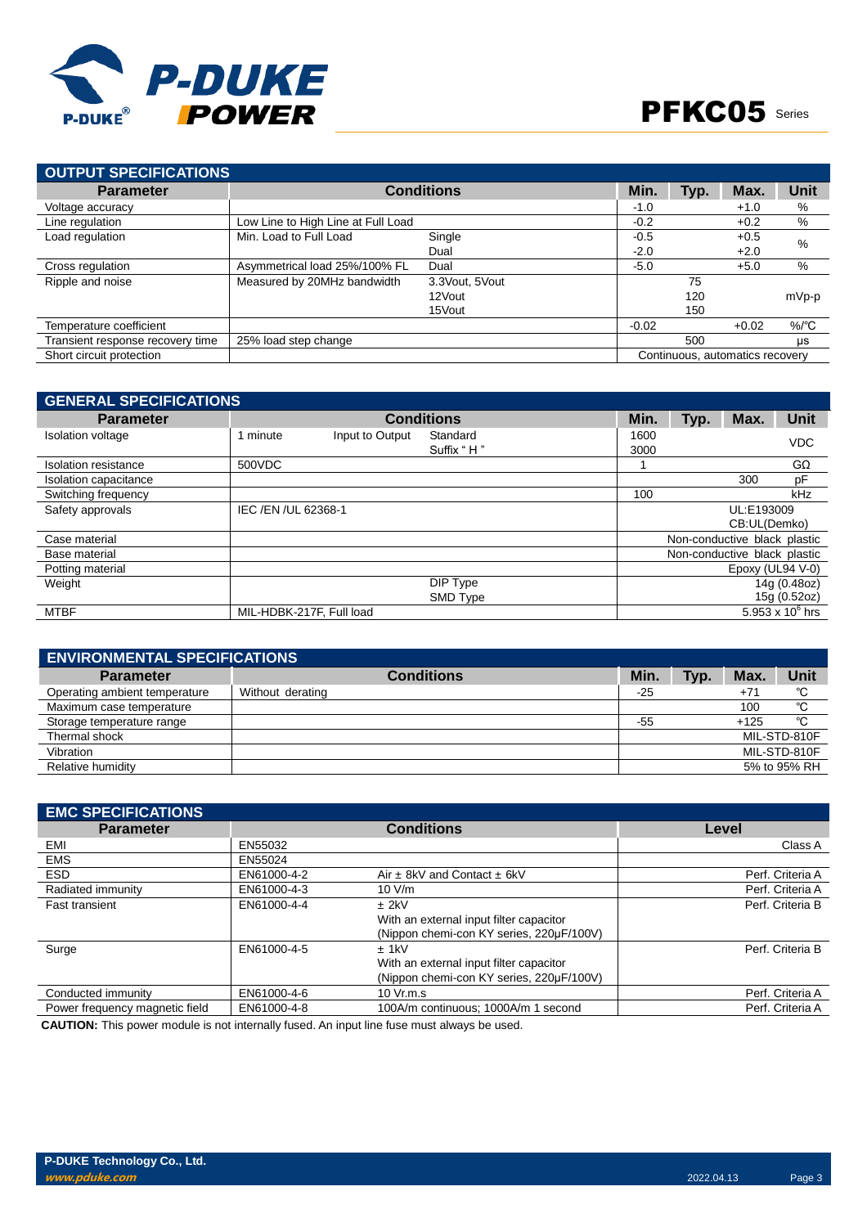

| OUTPUT SPECIFICATIONS            |                                    |                   |         |      |                                 |          |
|----------------------------------|------------------------------------|-------------------|---------|------|---------------------------------|----------|
| <b>Parameter</b>                 |                                    | <b>Conditions</b> | Min.    | Typ. | Max.                            | Unit     |
| Voltage accuracy                 |                                    |                   | $-1.0$  |      | $+1.0$                          | %        |
| Line regulation                  | Low Line to High Line at Full Load |                   | $-0.2$  |      | $+0.2$                          | %        |
| Load regulation                  | Min. Load to Full Load             | Single            | $-0.5$  |      | $+0.5$                          | $\%$     |
|                                  |                                    | Dual              | $-2.0$  |      | $+2.0$                          |          |
| Cross regulation                 | Asymmetrical load 25%/100% FL      | Dual              | $-5.0$  |      | $+5.0$                          | %        |
| Ripple and noise                 | Measured by 20MHz bandwidth        | 3.3 Vout, 5 Vout  |         | 75   |                                 |          |
|                                  |                                    | 12Vout            |         | 120  |                                 | mVp-p    |
|                                  |                                    | 15Vout            |         | 150  |                                 |          |
| Temperature coefficient          |                                    |                   | $-0.02$ |      | $+0.02$                         | $\%$ /°C |
| Transient response recovery time | 25% load step change               |                   |         | 500  |                                 | μs       |
| Short circuit protection         |                                    |                   |         |      | Continuous, automatics recovery |          |

| <b>GENERAL SPECIFICATIONS</b> |                          |                 |                   |      |      |                              |                    |
|-------------------------------|--------------------------|-----------------|-------------------|------|------|------------------------------|--------------------|
| <b>Parameter</b>              |                          |                 | <b>Conditions</b> | Min. | Typ. | Max.                         | <b>Unit</b>        |
| <b>Isolation voltage</b>      | 1 minute                 | Input to Output | Standard          | 1600 |      |                              | <b>VDC</b>         |
|                               |                          |                 | Suffix "H"        | 3000 |      |                              |                    |
| Isolation resistance          | 500VDC                   |                 |                   |      |      |                              | $G\Omega$          |
| Isolation capacitance         |                          |                 |                   |      |      | 300                          | pF                 |
| Switching frequency           |                          |                 |                   | 100  |      |                              | kHz                |
| Safety approvals              | IEC /EN /UL 62368-1      |                 |                   |      |      | UL:E193009                   |                    |
|                               |                          |                 |                   |      |      | CB:UL(Demko)                 |                    |
| Case material                 |                          |                 |                   |      |      | Non-conductive black plastic |                    |
| Base material                 |                          |                 |                   |      |      | Non-conductive black plastic |                    |
| Potting material              |                          |                 |                   |      |      | Epoxy (UL94 V-0)             |                    |
| Weight                        |                          |                 | DIP Type          |      |      |                              | 14g (0.48oz)       |
|                               |                          |                 | SMD Type          |      |      |                              | 15g (0.52oz)       |
| <b>MTBF</b>                   | MIL-HDBK-217F, Full load |                 |                   |      |      |                              | 5.953 x $10^6$ hrs |

| <b>ENVIRONMENTAL SPECIFICATIONS</b> |                   |       |      |        |              |
|-------------------------------------|-------------------|-------|------|--------|--------------|
| <b>Parameter</b>                    | <b>Conditions</b> | Min.  | Typ. | Max.   | Unit         |
| Operating ambient temperature       | Without derating  | $-25$ |      | $+71$  | °C           |
| Maximum case temperature            |                   |       |      | 100    | °C           |
| Storage temperature range           |                   | $-55$ |      | $+125$ | °C           |
| Thermal shock                       |                   |       |      |        | MIL-STD-810F |
| Vibration                           |                   |       |      |        | MIL-STD-810F |
| Relative humidity                   |                   |       |      |        | 5% to 95% RH |

| <b>EMC SPECIFICATIONS</b>      |             |                                          |                  |
|--------------------------------|-------------|------------------------------------------|------------------|
| <b>Parameter</b>               |             | <b>Conditions</b>                        | Level            |
| EMI                            | EN55032     |                                          | Class A          |
| <b>EMS</b>                     | EN55024     |                                          |                  |
| <b>ESD</b>                     | EN61000-4-2 | Air $\pm$ 8kV and Contact $\pm$ 6kV      | Perf. Criteria A |
| Radiated immunity              | EN61000-4-3 | 10 V/m                                   | Perf. Criteria A |
| <b>Fast transient</b>          | EN61000-4-4 | $±$ 2kV                                  | Perf. Criteria B |
|                                |             | With an external input filter capacitor  |                  |
|                                |             | (Nippon chemi-con KY series, 220µF/100V) |                  |
| Surge                          | EN61000-4-5 | $±$ 1kV                                  | Perf. Criteria B |
|                                |             | With an external input filter capacitor  |                  |
|                                |             | (Nippon chemi-con KY series, 220µF/100V) |                  |
| Conducted immunity             | EN61000-4-6 | 10 $Vr.m.s$                              | Perf. Criteria A |
| Power frequency magnetic field | EN61000-4-8 | 100A/m continuous; 1000A/m 1 second      | Perf. Criteria A |

**CAUTION:** This power module is not internally fused. An input line fuse must always be used.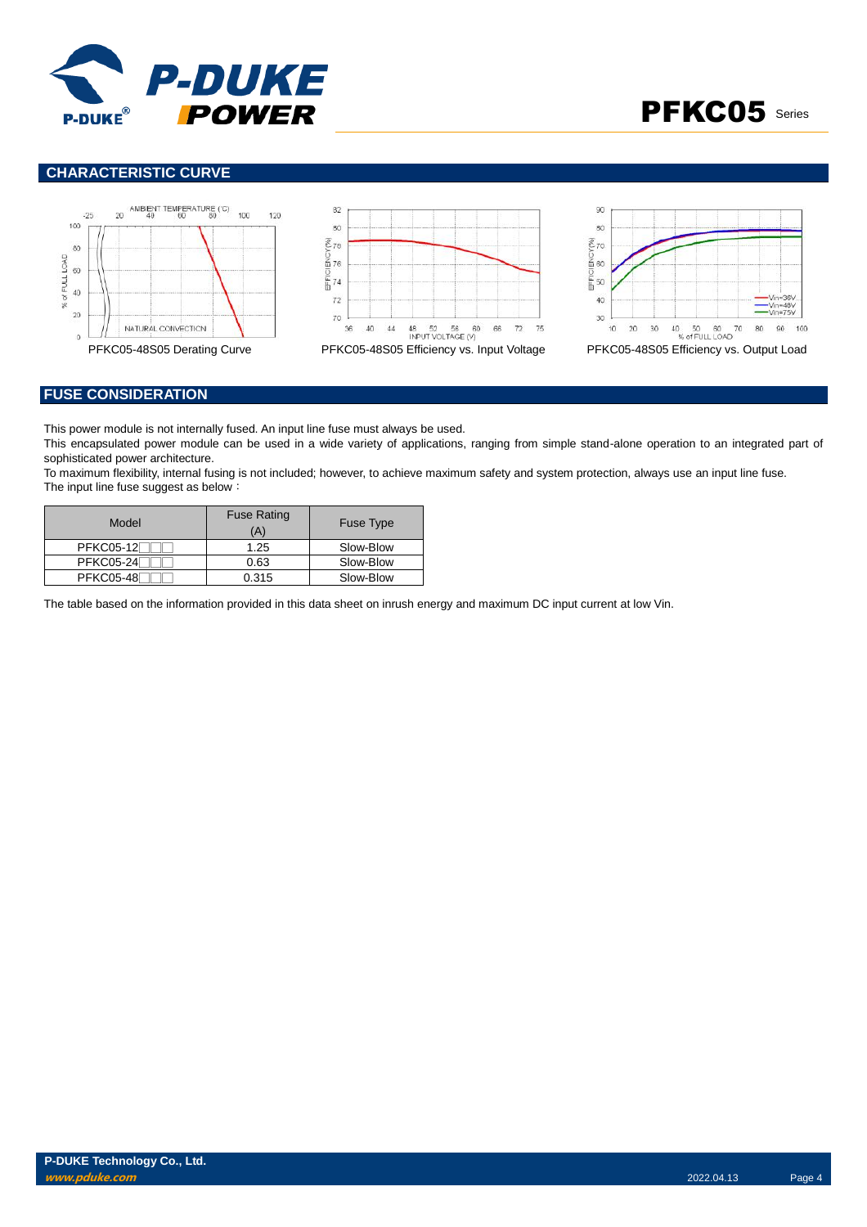



# **CHARACTERISTIC CURVE**







### **FUSE CONSIDERATION**

This power module is not internally fused. An input line fuse must always be used.

This encapsulated power module can be used in a wide variety of applications, ranging from simple stand-alone operation to an integrated part of sophisticated power architecture.

To maximum flexibility, internal fusing is not included; however, to achieve maximum safety and system protection, always use an input line fuse. The input line fuse suggest as below:

| Model             | <b>Fuse Rating</b><br>(A) | <b>Fuse Type</b> |
|-------------------|---------------------------|------------------|
| <b>PFKC05-12F</b> | 1.25                      | Slow-Blow        |
| <b>PFKC05-24</b>  | 0.63                      | Slow-Blow        |
| <b>PFKC05-48</b>  | 0.315                     | Slow-Blow        |

The table based on the information provided in this data sheet on inrush energy and maximum DC input current at low Vin.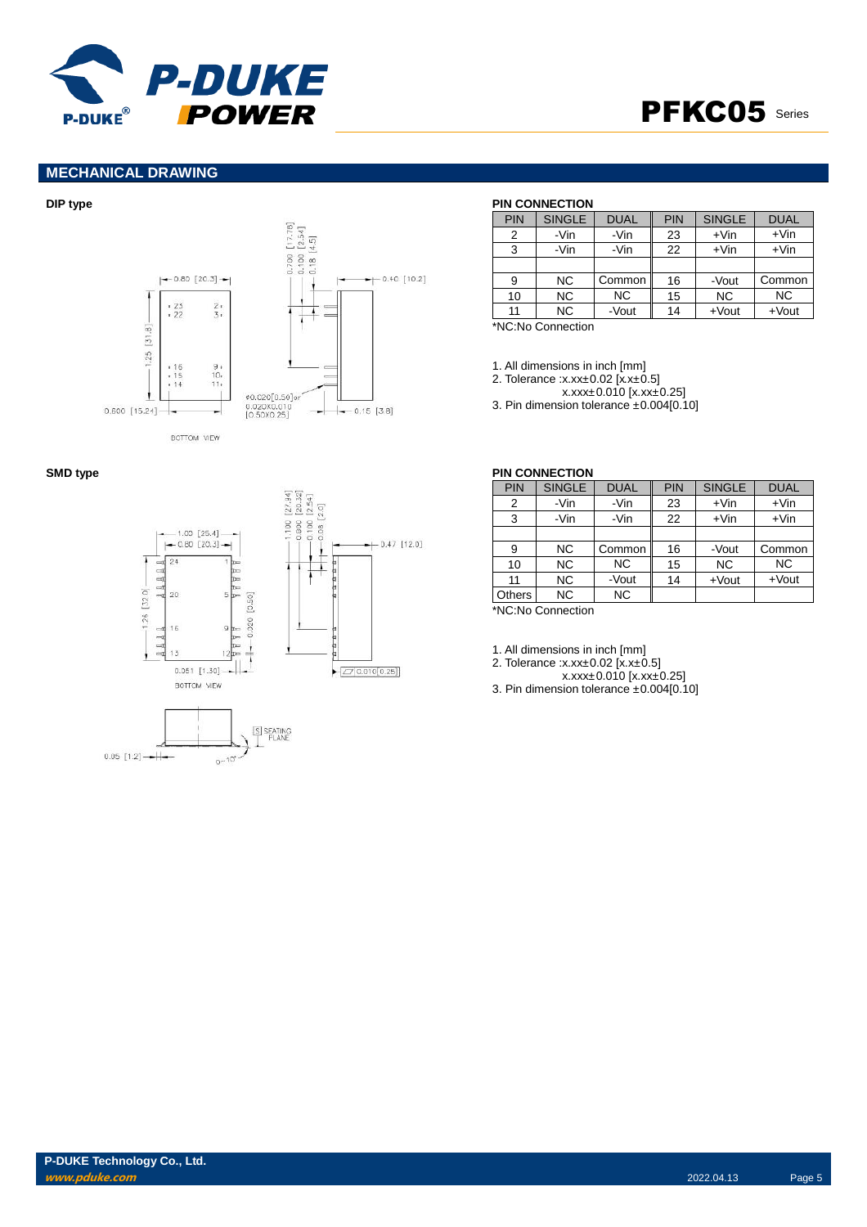

# PFKC05 Series

## **MECHANICAL DRAWING**







### **DIP type PIN CONNECTION**

| PIN | <b>SINGLE</b> | <b>DUAL</b> | <b>PIN</b> | <b>SINGLE</b> | <b>DUAL</b> |
|-----|---------------|-------------|------------|---------------|-------------|
| 2   | -Vin          | -Vin        | 23         | $+V$ in       | $+V$ in     |
| 3   | -Vin          | -Vin        | 22         | $+V$ in       | $+V$ in     |
|     |               |             |            |               |             |
| 9   | <b>NC</b>     | Common      | 16         | -Vout         | Common      |
| 10  | <b>NC</b>     | <b>NC</b>   | 15         | <b>NC</b>     | <b>NC</b>   |
| 11  | <b>NC</b>     | -Vout       | 14         | $+$ Vout      | $+$ Vout    |

\*NC:No Connection

1. All dimensions in inch [mm]

2. Tolerance :x.xx±0.02 [x.x±0.5]

x.xxx±0.010 [x.xx±0.25]

3. Pin dimension tolerance ±0.004[0.10]

| PIN    | <b>SINGLE</b> | <b>DUAL</b> | PIN | <b>SINGLE</b> | <b>DUAL</b> |
|--------|---------------|-------------|-----|---------------|-------------|
| 2      | -Vin          | -Vin        | 23  | $+V$ in       | $+V$ in     |
| 3      | -Vin          | -Vin        | 22  | $+V$ in       | $+V$ in     |
|        |               |             |     |               |             |
| 9      | NC.           | Common      | 16  | -Vout         | Common      |
| 10     | <b>NC</b>     | <b>NC</b>   | 15  | <b>NC</b>     | <b>NC</b>   |
| 11     | NC.           | -Vout       | 14  | $+$ Vout      | $+$ Vout    |
| Others | <b>NC</b>     | <b>NC</b>   |     |               |             |
|        | $\cdots$      |             |     |               |             |

\*NC:No Connection

1. All dimensions in inch [mm]

2. Tolerance :x.xx±0.02 [x.x±0.5]

x.xxx±0.010 [x.xx±0.25]

3. Pin dimension tolerance ±0.004[0.10]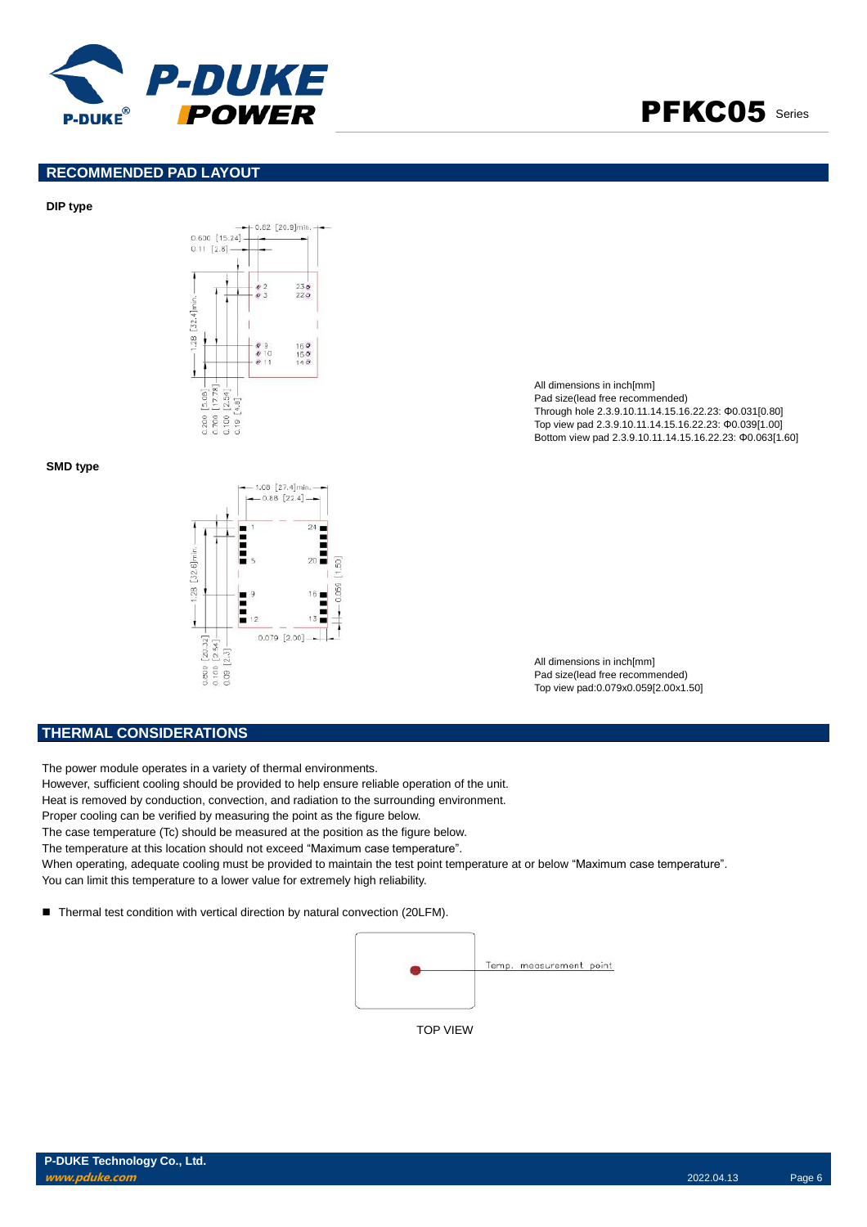

# PFKC05 Series

### **RECOMMENDED PAD LAYOUT**

### **DIP type**



### **SMD type**



All dimensions in inch[mm] Pad size(lead free recommended) Through hole 2.3.9.10.11.14.15.16.22.23: Φ0.031[0.80] Top view pad 2.3.9.10.11.14.15.16.22.23: Φ0.039[1.00] Bottom view pad 2.3.9.10.11.14.15.16.22.23: Φ0.063[1.60]

All dimensions in inch[mm] Pad size(lead free recommended) Top view pad:0.079x0.059[2.00x1.50]

### **THERMAL CONSIDERATIONS**

The power module operates in a variety of thermal environments.

- However, sufficient cooling should be provided to help ensure reliable operation of the unit.
- Heat is removed by conduction, convection, and radiation to the surrounding environment.
- Proper cooling can be verified by measuring the point as the figure below.
- The case temperature (Tc) should be measured at the position as the figure below.
- The temperature at this location should not exceed "Maximum case temperature".
- When operating, adequate cooling must be provided to maintain the test point temperature at or below "Maximum case temperature". You can limit this temperature to a lower value for extremely high reliability.
- Thermal test condition with vertical direction by natural convection (20LFM).